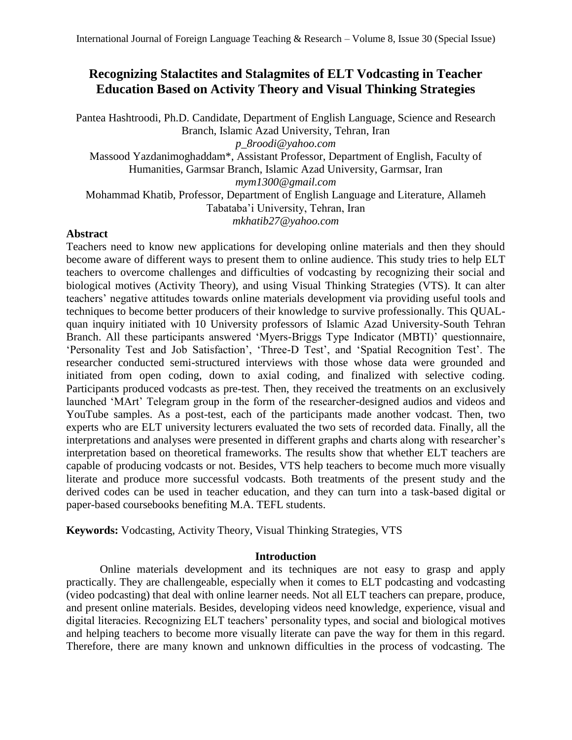# **Recognizing Stalactites and Stalagmites of ELT Vodcasting in Teacher Education Based on Activity Theory and Visual Thinking Strategies**

Pantea Hashtroodi, Ph.D. Candidate, Department of English Language, Science and Research Branch, Islamic Azad University, Tehran, Iran *p\_8roodi@yahoo.com* Massood Yazdanimoghaddam\*, Assistant Professor, Department of English, Faculty of Humanities, Garmsar Branch, Islamic Azad University, Garmsar, Iran *mym1300@gmail.com* Mohammad Khatib, Professor, Department of English Language and Literature, Allameh Tabataba'i University, Tehran, Iran *mkhatib27@yahoo.com*

# **Abstract**

Teachers need to know new applications for developing online materials and then they should become aware of different ways to present them to online audience. This study tries to help ELT teachers to overcome challenges and difficulties of vodcasting by recognizing their social and biological motives (Activity Theory), and using Visual Thinking Strategies (VTS). It can alter teachers' negative attitudes towards online materials development via providing useful tools and techniques to become better producers of their knowledge to survive professionally. This QUALquan inquiry initiated with 10 University professors of Islamic Azad University-South Tehran Branch. All these participants answered 'Myers-Briggs Type Indicator (MBTI)' questionnaire, 'Personality Test and Job Satisfaction', 'Three-D Test', and 'Spatial Recognition Test'. The researcher conducted semi-structured interviews with those whose data were grounded and initiated from open coding, down to axial coding, and finalized with selective coding. Participants produced vodcasts as pre-test. Then, they received the treatments on an exclusively launched 'MArt' Telegram group in the form of the researcher-designed audios and videos and YouTube samples. As a post-test, each of the participants made another vodcast. Then, two experts who are ELT university lecturers evaluated the two sets of recorded data. Finally, all the interpretations and analyses were presented in different graphs and charts along with researcher's interpretation based on theoretical frameworks. The results show that whether ELT teachers are capable of producing vodcasts or not. Besides, VTS help teachers to become much more visually literate and produce more successful vodcasts. Both treatments of the present study and the derived codes can be used in teacher education, and they can turn into a task-based digital or paper-based coursebooks benefiting M.A. TEFL students.

**Keywords:** Vodcasting, Activity Theory, Visual Thinking Strategies, VTS

# **Introduction**

Online materials development and its techniques are not easy to grasp and apply practically. They are challengeable, especially when it comes to ELT podcasting and vodcasting (video podcasting) that deal with online learner needs. Not all ELT teachers can prepare, produce, and present online materials. Besides, developing videos need knowledge, experience, visual and digital literacies. Recognizing ELT teachers' personality types, and social and biological motives and helping teachers to become more visually literate can pave the way for them in this regard. Therefore, there are many known and unknown difficulties in the process of vodcasting. The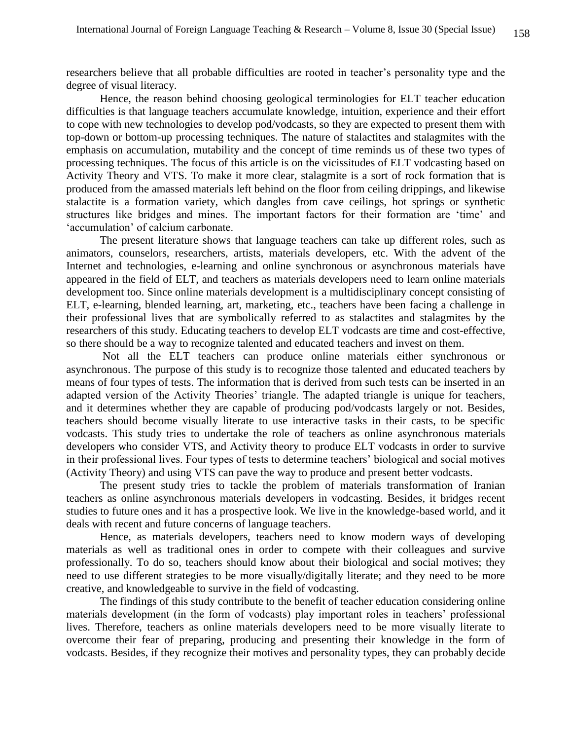researchers believe that all probable difficulties are rooted in teacher's personality type and the degree of visual literacy.

Hence, the reason behind choosing geological terminologies for ELT teacher education difficulties is that language teachers accumulate knowledge, intuition, experience and their effort to cope with new technologies to develop pod/vodcasts, so they are expected to present them with top-down or bottom-up processing techniques. The nature of stalactites and stalagmites with the emphasis on accumulation, mutability and the concept of time reminds us of these two types of processing techniques. The focus of this article is on the vicissitudes of ELT vodcasting based on Activity Theory and VTS. To make it more clear, stalagmite is a sort of rock formation that is produced from the amassed materials left behind on the floor from ceiling drippings, and likewise stalactite is a formation variety, which dangles from cave ceilings, hot springs or synthetic structures like bridges and mines. The important factors for their formation are 'time' and 'accumulation' of calcium carbonate.

The present literature shows that language teachers can take up different roles, such as animators, counselors, researchers, artists, materials developers, etc. With the advent of the Internet and technologies, e-learning and online synchronous or asynchronous materials have appeared in the field of ELT, and teachers as materials developers need to learn online materials development too. Since online materials development is a multidisciplinary concept consisting of ELT, e-learning, blended learning, art, marketing, etc., teachers have been facing a challenge in their professional lives that are symbolically referred to as stalactites and stalagmites by the researchers of this study. Educating teachers to develop ELT vodcasts are time and cost-effective, so there should be a way to recognize talented and educated teachers and invest on them.

Not all the ELT teachers can produce online materials either synchronous or asynchronous. The purpose of this study is to recognize those talented and educated teachers by means of four types of tests. The information that is derived from such tests can be inserted in an adapted version of the Activity Theories' triangle. The adapted triangle is unique for teachers, and it determines whether they are capable of producing pod/vodcasts largely or not. Besides, teachers should become visually literate to use interactive tasks in their casts, to be specific vodcasts. This study tries to undertake the role of teachers as online asynchronous materials developers who consider VTS, and Activity theory to produce ELT vodcasts in order to survive in their professional lives. Four types of tests to determine teachers' biological and social motives (Activity Theory) and using VTS can pave the way to produce and present better vodcasts.

The present study tries to tackle the problem of materials transformation of Iranian teachers as online asynchronous materials developers in vodcasting. Besides, it bridges recent studies to future ones and it has a prospective look. We live in the knowledge-based world, and it deals with recent and future concerns of language teachers.

Hence, as materials developers, teachers need to know modern ways of developing materials as well as traditional ones in order to compete with their colleagues and survive professionally. To do so, teachers should know about their biological and social motives; they need to use different strategies to be more visually/digitally literate; and they need to be more creative, and knowledgeable to survive in the field of vodcasting.

The findings of this study contribute to the benefit of teacher education considering online materials development (in the form of vodcasts) play important roles in teachers' professional lives. Therefore, teachers as online materials developers need to be more visually literate to overcome their fear of preparing, producing and presenting their knowledge in the form of vodcasts. Besides, if they recognize their motives and personality types, they can probably decide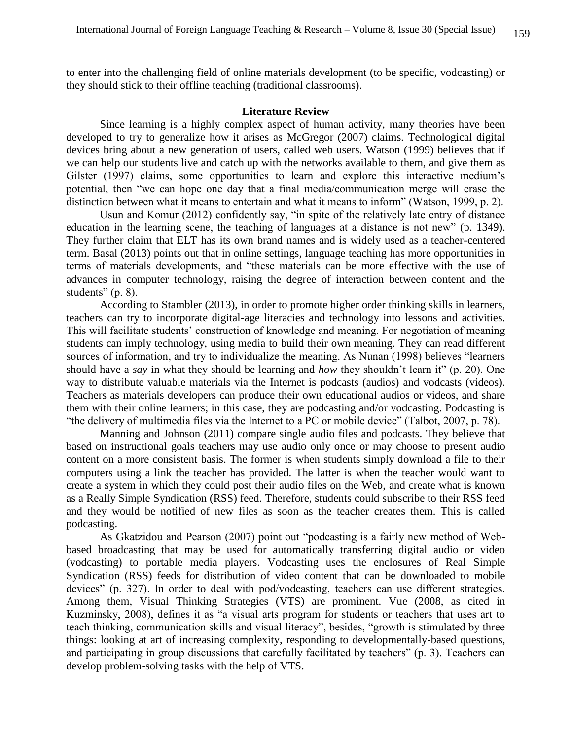to enter into the challenging field of online materials development (to be specific, vodcasting) or they should stick to their offline teaching (traditional classrooms).

#### **Literature Review**

Since learning is a highly complex aspect of human activity, many theories have been developed to try to generalize how it arises as McGregor (2007) claims. Technological digital devices bring about a new generation of users, called web users. Watson (1999) believes that if we can help our students live and catch up with the networks available to them, and give them as Gilster (1997) claims, some opportunities to learn and explore this interactive medium's potential, then "we can hope one day that a final media/communication merge will erase the distinction between what it means to entertain and what it means to inform" (Watson, 1999, p. 2).

Usun and Komur (2012) confidently say, "in spite of the relatively late entry of distance education in the learning scene, the teaching of languages at a distance is not new" (p. 1349). They further claim that ELT has its own brand names and is widely used as a teacher-centered term. Basal (2013) points out that in online settings, language teaching has more opportunities in terms of materials developments, and "these materials can be more effective with the use of advances in computer technology, raising the degree of interaction between content and the students" (p. 8).

According to Stambler (2013), in order to promote higher order thinking skills in learners, teachers can try to incorporate digital-age literacies and technology into lessons and activities. This will facilitate students' construction of knowledge and meaning. For negotiation of meaning students can imply technology, using media to build their own meaning. They can read different sources of information, and try to individualize the meaning. As Nunan (1998) believes "learners should have a *say* in what they should be learning and *how* they shouldn't learn it" (p. 20). One way to distribute valuable materials via the Internet is podcasts (audios) and vodcasts (videos). Teachers as materials developers can produce their own educational audios or videos, and share them with their online learners; in this case, they are podcasting and/or vodcasting. Podcasting is "the delivery of multimedia files via the Internet to a PC or mobile device" (Talbot, 2007, p. 78).

Manning and Johnson (2011) compare single audio files and podcasts. They believe that based on instructional goals teachers may use audio only once or may choose to present audio content on a more consistent basis. The former is when students simply download a file to their computers using a link the teacher has provided. The latter is when the teacher would want to create a system in which they could post their audio files on the Web, and create what is known as a Really Simple Syndication (RSS) feed. Therefore, students could subscribe to their RSS feed and they would be notified of new files as soon as the teacher creates them. This is called podcasting.

As Gkatzidou and Pearson (2007) point out "podcasting is a fairly new method of Webbased broadcasting that may be used for automatically transferring digital audio or video (vodcasting) to portable media players. Vodcasting uses the enclosures of Real Simple Syndication (RSS) feeds for distribution of video content that can be downloaded to mobile devices" (p. 327). In order to deal with pod/vodcasting, teachers can use different strategies. Among them, Visual Thinking Strategies (VTS) are prominent. Vue (2008, as cited in Kuzminsky, 2008), defines it as "a visual arts program for students or teachers that uses art to teach thinking, communication skills and visual literacy", besides, "growth is stimulated by three things: looking at art of increasing complexity, responding to developmentally-based questions, and participating in group discussions that carefully facilitated by teachers" (p. 3). Teachers can develop problem-solving tasks with the help of VTS.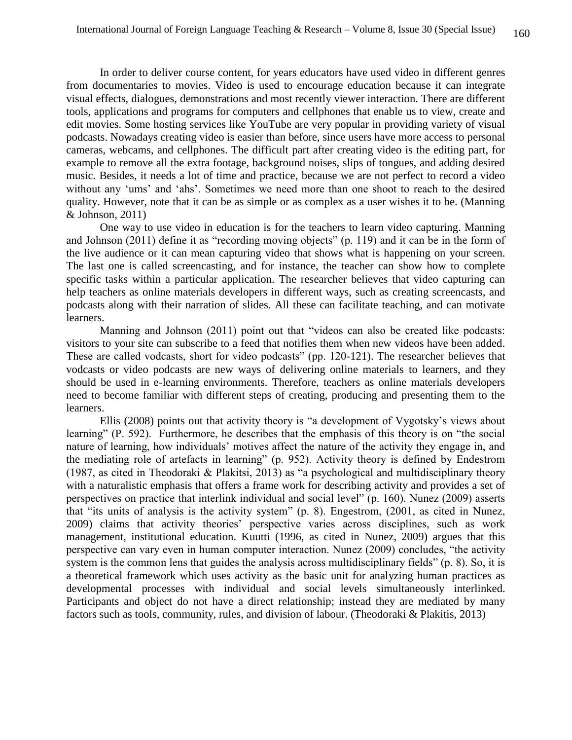In order to deliver course content, for years educators have used video in different genres from documentaries to movies. Video is used to encourage education because it can integrate visual effects, dialogues, demonstrations and most recently viewer interaction. There are different tools, applications and programs for computers and cellphones that enable us to view, create and edit movies. Some hosting services like YouTube are very popular in providing variety of visual podcasts. Nowadays creating video is easier than before, since users have more access to personal cameras, webcams, and cellphones. The difficult part after creating video is the editing part, for example to remove all the extra footage, background noises, slips of tongues, and adding desired music. Besides, it needs a lot of time and practice, because we are not perfect to record a video without any 'ums' and 'ahs'. Sometimes we need more than one shoot to reach to the desired quality. However, note that it can be as simple or as complex as a user wishes it to be. (Manning & Johnson, 2011)

One way to use video in education is for the teachers to learn video capturing. Manning and Johnson (2011) define it as "recording moving objects" (p. 119) and it can be in the form of the live audience or it can mean capturing video that shows what is happening on your screen. The last one is called screencasting, and for instance, the teacher can show how to complete specific tasks within a particular application. The researcher believes that video capturing can help teachers as online materials developers in different ways, such as creating screencasts, and podcasts along with their narration of slides. All these can facilitate teaching, and can motivate learners.

Manning and Johnson (2011) point out that "videos can also be created like podcasts: visitors to your site can subscribe to a feed that notifies them when new videos have been added. These are called vodcasts, short for video podcasts" (pp. 120-121). The researcher believes that vodcasts or video podcasts are new ways of delivering online materials to learners, and they should be used in e-learning environments. Therefore, teachers as online materials developers need to become familiar with different steps of creating, producing and presenting them to the learners.

Ellis (2008) points out that activity theory is "a development of Vygotsky's views about learning" (P. 592). Furthermore, he describes that the emphasis of this theory is on "the social nature of learning, how individuals' motives affect the nature of the activity they engage in, and the mediating role of artefacts in learning" (p. 952). Activity theory is defined by Endestrom (1987, as cited in Theodoraki & Plakitsi, 2013) as "a psychological and multidisciplinary theory with a naturalistic emphasis that offers a frame work for describing activity and provides a set of perspectives on practice that interlink individual and social level" (p. 160). Nunez (2009) asserts that "its units of analysis is the activity system" (p. 8). Engestrom, (2001, as cited in Nunez, 2009) claims that activity theories' perspective varies across disciplines, such as work management, institutional education. Kuutti (1996, as cited in Nunez, 2009) argues that this perspective can vary even in human computer interaction. Nunez (2009) concludes, "the activity system is the common lens that guides the analysis across multidisciplinary fields" (p. 8). So, it is a theoretical framework which uses activity as the basic unit for analyzing human practices as developmental processes with individual and social levels simultaneously interlinked. Participants and object do not have a direct relationship; instead they are mediated by many factors such as tools, community, rules, and division of labour. (Theodoraki & Plakitis, 2013)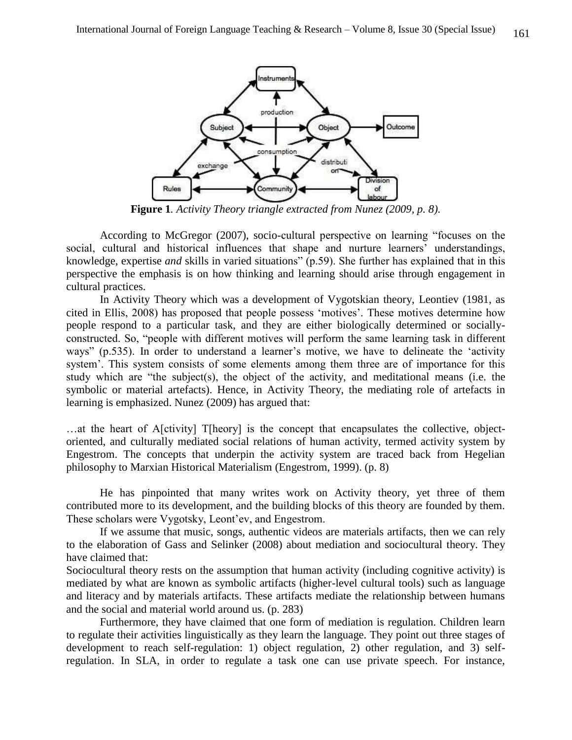

**Figure 1***. Activity Theory triangle extracted from Nunez (2009, p. 8).*

According to McGregor (2007), socio-cultural perspective on learning "focuses on the social, cultural and historical influences that shape and nurture learners' understandings, knowledge, expertise *and* skills in varied situations" (p.59). She further has explained that in this perspective the emphasis is on how thinking and learning should arise through engagement in cultural practices.

In Activity Theory which was a development of Vygotskian theory, Leontiev (1981, as cited in Ellis, 2008) has proposed that people possess 'motives'. These motives determine how people respond to a particular task, and they are either biologically determined or sociallyconstructed. So, "people with different motives will perform the same learning task in different ways" (p.535). In order to understand a learner's motive, we have to delineate the 'activity system'. This system consists of some elements among them three are of importance for this study which are "the subject(s), the object of the activity, and meditational means (i.e. the symbolic or material artefacts). Hence, in Activity Theory, the mediating role of artefacts in learning is emphasized. Nunez (2009) has argued that:

…at the heart of A[ctivity] T[heory] is the concept that encapsulates the collective, objectoriented, and culturally mediated social relations of human activity, termed activity system by Engestrom. The concepts that underpin the activity system are traced back from Hegelian philosophy to Marxian Historical Materialism (Engestrom, 1999). (p. 8)

He has pinpointed that many writes work on Activity theory, yet three of them contributed more to its development, and the building blocks of this theory are founded by them. These scholars were Vygotsky, Leont'ev, and Engestrom.

If we assume that music, songs, authentic videos are materials artifacts, then we can rely to the elaboration of Gass and Selinker (2008) about mediation and sociocultural theory. They have claimed that:

Sociocultural theory rests on the assumption that human activity (including cognitive activity) is mediated by what are known as symbolic artifacts (higher-level cultural tools) such as language and literacy and by materials artifacts. These artifacts mediate the relationship between humans and the social and material world around us. (p. 283)

Furthermore, they have claimed that one form of mediation is regulation. Children learn to regulate their activities linguistically as they learn the language. They point out three stages of development to reach self-regulation: 1) object regulation, 2) other regulation, and 3) selfregulation. In SLA, in order to regulate a task one can use private speech. For instance,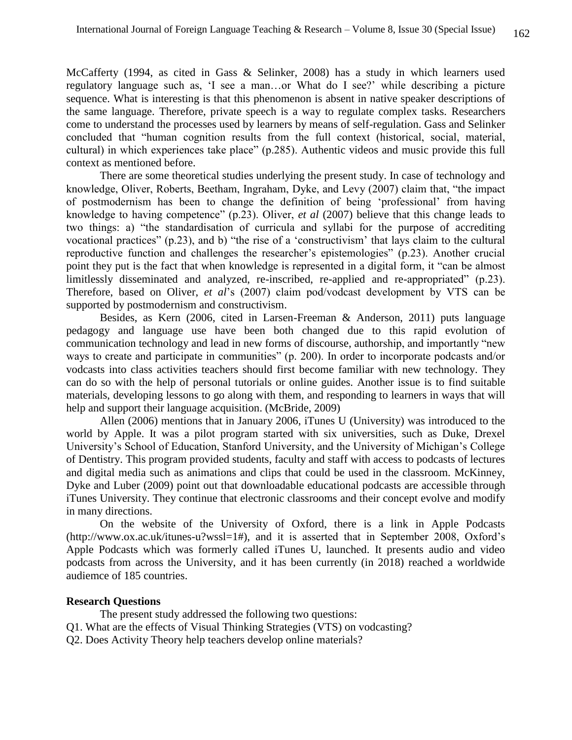McCafferty (1994, as cited in Gass & Selinker, 2008) has a study in which learners used regulatory language such as, 'I see a man…or What do I see?' while describing a picture sequence. What is interesting is that this phenomenon is absent in native speaker descriptions of the same language. Therefore, private speech is a way to regulate complex tasks. Researchers come to understand the processes used by learners by means of self-regulation. Gass and Selinker concluded that "human cognition results from the full context (historical, social, material, cultural) in which experiences take place" (p.285). Authentic videos and music provide this full context as mentioned before.

There are some theoretical studies underlying the present study. In case of technology and knowledge, Oliver, Roberts, Beetham, Ingraham, Dyke, and Levy (2007) claim that, "the impact of postmodernism has been to change the definition of being 'professional' from having knowledge to having competence" (p.23). Oliver, *et al* (2007) believe that this change leads to two things: a) "the standardisation of curricula and syllabi for the purpose of accrediting vocational practices" (p.23), and b) "the rise of a 'constructivism' that lays claim to the cultural reproductive function and challenges the researcher's epistemologies" (p.23). Another crucial point they put is the fact that when knowledge is represented in a digital form, it "can be almost limitlessly disseminated and analyzed, re-inscribed, re-applied and re-appropriated" (p.23). Therefore, based on Oliver, *et al*'s (2007) claim pod/vodcast development by VTS can be supported by postmodernism and constructivism.

Besides, as Kern (2006, cited in Larsen-Freeman & Anderson, 2011) puts language pedagogy and language use have been both changed due to this rapid evolution of communication technology and lead in new forms of discourse, authorship, and importantly "new ways to create and participate in communities" (p. 200). In order to incorporate podcasts and/or vodcasts into class activities teachers should first become familiar with new technology. They can do so with the help of personal tutorials or online guides. Another issue is to find suitable materials, developing lessons to go along with them, and responding to learners in ways that will help and support their language acquisition. (McBride, 2009)

Allen (2006) mentions that in January 2006, iTunes U (University) was introduced to the world by Apple. It was a pilot program started with six universities, such as Duke, Drexel University's School of Education, Stanford University, and the University of Michigan's College of Dentistry. This program provided students, faculty and staff with access to podcasts of lectures and digital media such as animations and clips that could be used in the classroom. McKinney, Dyke and Luber (2009) point out that downloadable educational podcasts are accessible through iTunes University. They continue that electronic classrooms and their concept evolve and modify in many directions.

On the website of the University of Oxford, there is a link in Apple Podcasts (http://www.ox.ac.uk/itunes-u?wssl=1#), and it is asserted that in September 2008, Oxford's Apple Podcasts which was formerly called iTunes U, launched. It presents audio and video podcasts from across the University, and it has been currently (in 2018) reached a worldwide audiemce of 185 countries.

# **Research Questions**

- The present study addressed the following two questions:
- Q1. What are the effects of Visual Thinking Strategies (VTS) on vodcasting?
- Q2. Does Activity Theory help teachers develop online materials?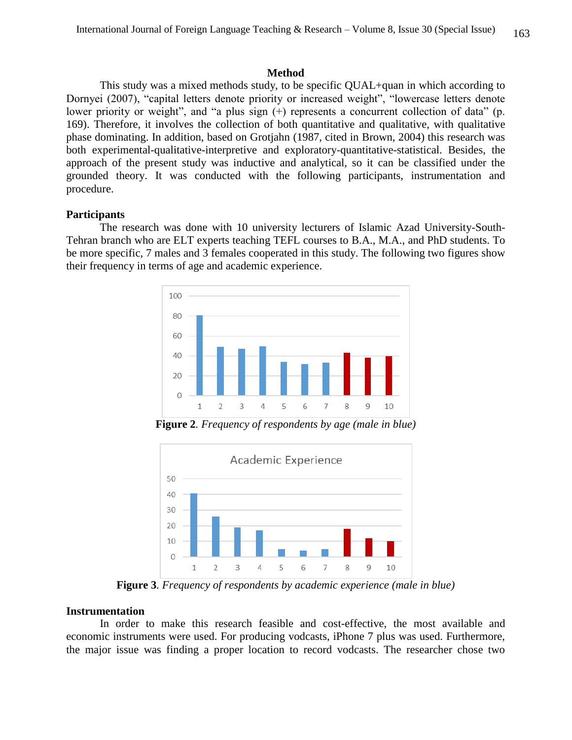#### **Method**

This study was a mixed methods study, to be specific QUAL+quan in which according to Dornyei (2007), "capital letters denote priority or increased weight", "lowercase letters denote lower priority or weight", and "a plus sign  $(+)$  represents a concurrent collection of data" (p. 169). Therefore, it involves the collection of both quantitative and qualitative, with qualitative phase dominating. In addition, based on Grotjahn (1987, cited in Brown, 2004) this research was both experimental-qualitative-interpretive and exploratory-quantitative-statistical. Besides, the approach of the present study was inductive and analytical, so it can be classified under the grounded theory. It was conducted with the following participants, instrumentation and procedure.

#### **Participants**

The research was done with 10 university lecturers of Islamic Azad University-South-Tehran branch who are ELT experts teaching TEFL courses to B.A., M.A., and PhD students. To be more specific, 7 males and 3 females cooperated in this study. The following two figures show their frequency in terms of age and academic experience.



**Figure 2***. Frequency of respondents by age (male in blue)*



**Figure 3***. Frequency of respondents by academic experience (male in blue)*

# **Instrumentation**

In order to make this research feasible and cost-effective, the most available and economic instruments were used. For producing vodcasts, iPhone 7 plus was used. Furthermore, the major issue was finding a proper location to record vodcasts. The researcher chose two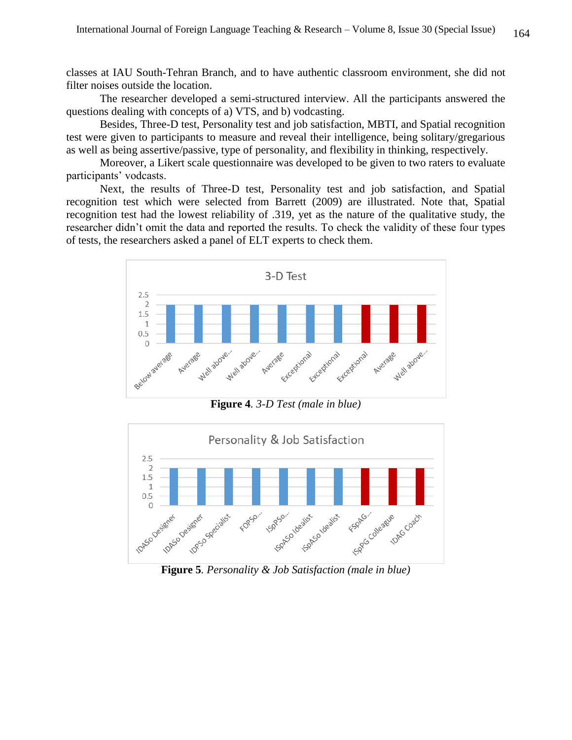classes at IAU South-Tehran Branch, and to have authentic classroom environment, she did not filter noises outside the location.

The researcher developed a semi-structured interview. All the participants answered the questions dealing with concepts of a) VTS, and b) vodcasting.

Besides, Three-D test, Personality test and job satisfaction, MBTI, and Spatial recognition test were given to participants to measure and reveal their intelligence, being solitary/gregarious as well as being assertive/passive, type of personality, and flexibility in thinking, respectively.

Moreover, a Likert scale questionnaire was developed to be given to two raters to evaluate participants' vodcasts.

Next, the results of Three-D test, Personality test and job satisfaction, and Spatial recognition test which were selected from Barrett (2009) are illustrated. Note that, Spatial recognition test had the lowest reliability of .319, yet as the nature of the qualitative study, the researcher didn't omit the data and reported the results. To check the validity of these four types of tests, the researchers asked a panel of ELT experts to check them.



**Figure 4***. 3-D Test (male in blue)*



**Figure 5***. Personality & Job Satisfaction (male in blue)*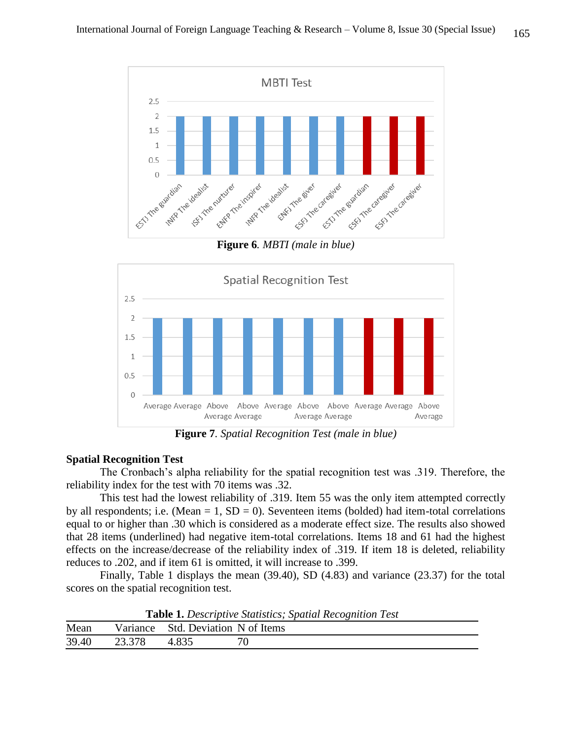

**Figure 6***. MBTI (male in blue)*



**Figure 7***. Spatial Recognition Test (male in blue)*

# **Spatial Recognition Test**

The Cronbach's alpha reliability for the spatial recognition test was .319. Therefore, the reliability index for the test with 70 items was .32.

This test had the lowest reliability of .319. Item 55 was the only item attempted correctly by all respondents; i.e. (Mean = 1,  $SD = 0$ ). Seventeen items (bolded) had item-total correlations equal to or higher than .30 which is considered as a moderate effect size. The results also showed that 28 items (underlined) had negative item-total correlations. Items 18 and 61 had the highest effects on the increase/decrease of the reliability index of .319. If item 18 is deleted, reliability reduces to .202, and if item 61 is omitted, it will increase to .399.

Finally, Table 1 displays the mean (39.40), SD (4.83) and variance (23.37) for the total scores on the spatial recognition test.

|       |        |                                    | <b>Table 1.</b> Descriptive Statistics; Spatial Recognition Test |  |
|-------|--------|------------------------------------|------------------------------------------------------------------|--|
| Mean  |        | Variance Std. Deviation N of Items |                                                                  |  |
| 39.40 | 23.378 | 4.835                              |                                                                  |  |

**Table 1.** *Descriptive Statistics; Spatial Recognition Test*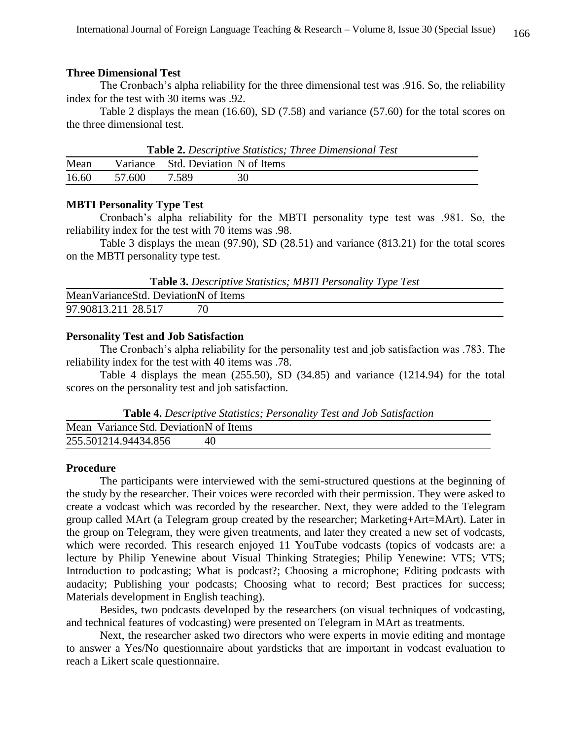#### **Three Dimensional Test**

The Cronbach's alpha reliability for the three dimensional test was .916. So, the reliability index for the test with 30 items was .92.

Table 2 displays the mean (16.60), SD (7.58) and variance (57.60) for the total scores on the three dimensional test.

**Table 2.** *Descriptive Statistics; Three Dimensional Test*

| Mean  |        | Variance Std. Deviation N of Items |    |
|-------|--------|------------------------------------|----|
| 16.60 | 57.600 | 7.589                              | 30 |

# **MBTI Personality Type Test**

Cronbach's alpha reliability for the MBTI personality type test was .981. So, the reliability index for the test with 70 items was .98.

Table 3 displays the mean (97.90), SD (28.51) and variance (813.21) for the total scores on the MBTI personality type test.

**Table 3.** *Descriptive Statistics; MBTI Personality Type Test*

| Mean Variance Std. Deviation N of Items |  |  |  |  |  |
|-----------------------------------------|--|--|--|--|--|
| 97.90813.211 28.517                     |  |  |  |  |  |

# **Personality Test and Job Satisfaction**

The Cronbach's alpha reliability for the personality test and job satisfaction was .783. The reliability index for the test with 40 items was .78.

Table 4 displays the mean (255.50), SD (34.85) and variance (1214.94) for the total scores on the personality test and job satisfaction.

**Table 4.** *Descriptive Statistics; Personality Test and Job Satisfaction*

| Mean Variance Std. Deviation N of Items |    |  |
|-----------------------------------------|----|--|
| 255.501214.94434.856                    | 40 |  |

### **Procedure**

The participants were interviewed with the semi-structured questions at the beginning of the study by the researcher. Their voices were recorded with their permission. They were asked to create a vodcast which was recorded by the researcher. Next, they were added to the Telegram group called MArt (a Telegram group created by the researcher; Marketing+Art=MArt). Later in the group on Telegram, they were given treatments, and later they created a new set of vodcasts, which were recorded. This research enjoyed 11 YouTube vodcasts (topics of vodcasts are: a lecture by Philip Yenewine about Visual Thinking Strategies; Philip Yenewine: VTS; VTS; Introduction to podcasting; What is podcast?; Choosing a microphone; Editing podcasts with audacity; Publishing your podcasts; Choosing what to record; Best practices for success; Materials development in English teaching).

Besides, two podcasts developed by the researchers (on visual techniques of vodcasting, and technical features of vodcasting) were presented on Telegram in MArt as treatments.

Next, the researcher asked two directors who were experts in movie editing and montage to answer a Yes/No questionnaire about yardsticks that are important in vodcast evaluation to reach a Likert scale questionnaire.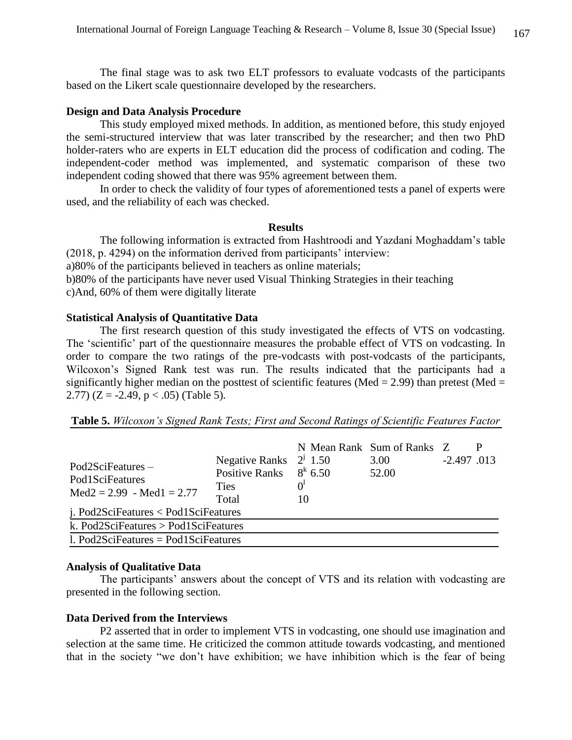The final stage was to ask two ELT professors to evaluate vodcasts of the participants based on the Likert scale questionnaire developed by the researchers.

#### **Design and Data Analysis Procedure**

This study employed mixed methods. In addition, as mentioned before, this study enjoyed the semi-structured interview that was later transcribed by the researcher; and then two PhD holder-raters who are experts in ELT education did the process of codification and coding. The independent-coder method was implemented, and systematic comparison of these two independent coding showed that there was 95% agreement between them.

In order to check the validity of four types of aforementioned tests a panel of experts were used, and the reliability of each was checked.

#### **Results**

The following information is extracted from Hashtroodi and Yazdani Moghaddam's table (2018, p. 4294) on the information derived from participants' interview:

a)80% of the participants believed in teachers as online materials;

b)80% of the participants have never used Visual Thinking Strategies in their teaching

c)And, 60% of them were digitally literate

# **Statistical Analysis of Quantitative Data**

The first research question of this study investigated the effects of VTS on vodcasting. The 'scientific' part of the questionnaire measures the probable effect of VTS on vodcasting. In order to compare the two ratings of the pre-vodcasts with post-vodcasts of the participants, Wilcoxon's Signed Rank test was run. The results indicated that the participants had a significantly higher median on the posttest of scientific features (Med =  $2.99$ ) than pretest (Med = 2.77) ( $Z = -2.49$ ,  $p < .05$ ) (Table 5).

| $Pod2SciFeatures -$<br>Pod1SciFeatures<br>$Med2 = 2.99 - Med1 = 2.77$ | Negative Ranks $2^j$ 1.50<br>Positive Ranks $8^k$ 6.50<br><b>Ties</b><br>Total | 10 | N Mean Rank Sum of Ranks Z<br>3.00<br>52.00 | $-2.497$ .013 |  |
|-----------------------------------------------------------------------|--------------------------------------------------------------------------------|----|---------------------------------------------|---------------|--|
| i. Pod2SciFeatures < Pod1SciFeatures                                  |                                                                                |    |                                             |               |  |
| k. Pod $2Sc$ i Features > Pod $1Sc$ i Features                        |                                                                                |    |                                             |               |  |
| 1. Pod $2Sc$ i Features = Pod $1Sc$ i Features                        |                                                                                |    |                                             |               |  |

**Table 5.** *Wilcoxon's Signed Rank Tests; First and Second Ratings of Scientific Features Factor*

## **Analysis of Qualitative Data**

The participants' answers about the concept of VTS and its relation with vodcasting are presented in the following section.

### **Data Derived from the Interviews**

P2 asserted that in order to implement VTS in vodcasting, one should use imagination and selection at the same time. He criticized the common attitude towards vodcasting, and mentioned that in the society "we don't have exhibition; we have inhibition which is the fear of being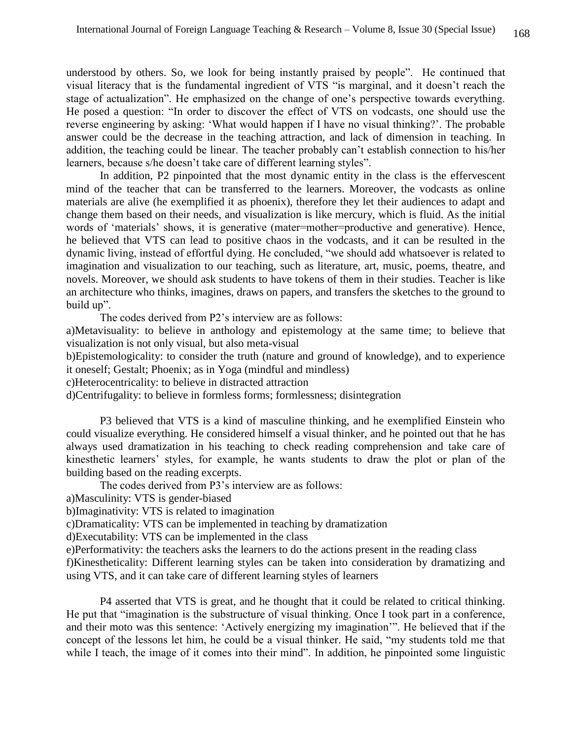understood by others. So, we look for being instantly praised by people". He continued that visual literacy that is the fundamental ingredient of VTS "is marginal, and it doesn't reach the stage of actualization". He emphasized on the change of one's perspective towards everything. He posed a question: "In order to discover the effect of VTS on vodcasts, one should use the reverse engineering by asking: 'What would happen if I have no visual thinking?'. The probable answer could be the decrease in the teaching attraction, and lack of dimension in teaching. In addition, the teaching could be linear. The teacher probably can't establish connection to his/her learners, because s/he doesn't take care of different learning styles".

In addition, P2 pinpointed that the most dynamic entity in the class is the effervescent mind of the teacher that can be transferred to the learners. Moreover, the vodcasts as online materials are alive (he exemplified it as phoenix), therefore they let their audiences to adapt and change them based on their needs, and visualization is like mercury, which is fluid. As the initial words of 'materials' shows, it is generative (mater=mother=productive and generative). Hence, he believed that VTS can lead to positive chaos in the vodcasts, and it can be resulted in the dynamic living, instead of effortful dying. He concluded, "we should add whatsoever is related to imagination and visualization to our teaching, such as literature, art, music, poems, theatre, and novels. Moreover, we should ask students to have tokens of them in their studies. Teacher is like an architecture who thinks, imagines, draws on papers, and transfers the sketches to the ground to build up".

The codes derived from P2's interview are as follows:

a)Metavisuality: to believe in anthology and epistemology at the same time; to believe that visualization is not only visual, but also meta-visual

b)Epistemologicality: to consider the truth (nature and ground of knowledge), and to experience it oneself; Gestalt; Phoenix; as in Yoga (mindful and mindless)

c)Heterocentricality: to believe in distracted attraction

d)Centrifugality: to believe in formless forms; formlessness; disintegration

P3 believed that VTS is a kind of masculine thinking, and he exemplified Einstein who could visualize everything. He considered himself a visual thinker, and he pointed out that he has always used dramatization in his teaching to check reading comprehension and take care of kinesthetic learners' styles, for example, he wants students to draw the plot or plan of the building based on the reading excerpts.

The codes derived from P3's interview are as follows:

a)Masculinity: VTS is gender-biased

b)Imaginativity: VTS is related to imagination

c)Dramaticality: VTS can be implemented in teaching by dramatization

d)Executability: VTS can be implemented in the class

e)Performativity: the teachers asks the learners to do the actions present in the reading class f)Kinestheticality: Different learning styles can be taken into consideration by dramatizing and using VTS, and it can take care of different learning styles of learners

P4 asserted that VTS is great, and he thought that it could be related to critical thinking. He put that "imagination is the substructure of visual thinking. Once I took part in a conference, and their moto was this sentence: 'Actively energizing my imagination'". He believed that if the concept of the lessons let him, he could be a visual thinker. He said, "my students told me that while I teach, the image of it comes into their mind". In addition, he pinpointed some linguistic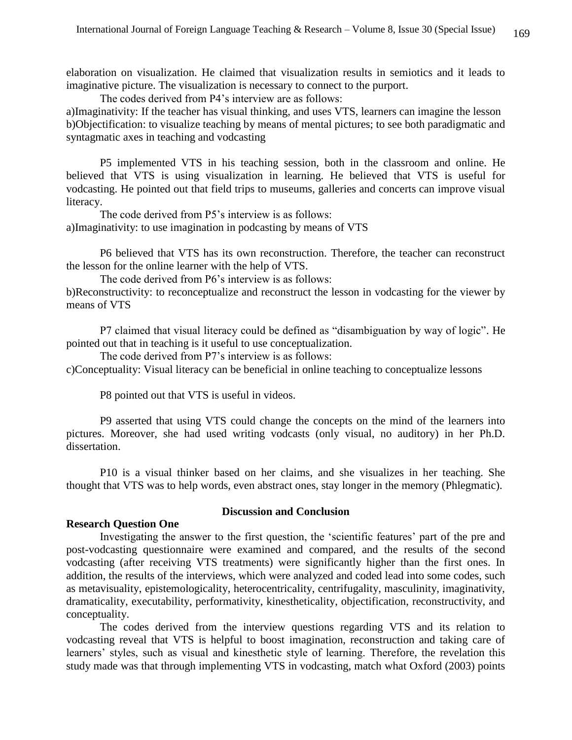elaboration on visualization. He claimed that visualization results in semiotics and it leads to imaginative picture. The visualization is necessary to connect to the purport.

The codes derived from P4's interview are as follows:

a)Imaginativity: If the teacher has visual thinking, and uses VTS, learners can imagine the lesson b)Objectification: to visualize teaching by means of mental pictures; to see both paradigmatic and syntagmatic axes in teaching and vodcasting

P5 implemented VTS in his teaching session, both in the classroom and online. He believed that VTS is using visualization in learning. He believed that VTS is useful for vodcasting. He pointed out that field trips to museums, galleries and concerts can improve visual literacy.

The code derived from P5's interview is as follows: a)Imaginativity: to use imagination in podcasting by means of VTS

P6 believed that VTS has its own reconstruction. Therefore, the teacher can reconstruct the lesson for the online learner with the help of VTS.

The code derived from P6's interview is as follows:

b)Reconstructivity: to reconceptualize and reconstruct the lesson in vodcasting for the viewer by means of VTS

P7 claimed that visual literacy could be defined as "disambiguation by way of logic". He pointed out that in teaching is it useful to use conceptualization.

The code derived from P7's interview is as follows:

c)Conceptuality: Visual literacy can be beneficial in online teaching to conceptualize lessons

P8 pointed out that VTS is useful in videos.

P9 asserted that using VTS could change the concepts on the mind of the learners into pictures. Moreover, she had used writing vodcasts (only visual, no auditory) in her Ph.D. dissertation.

P10 is a visual thinker based on her claims, and she visualizes in her teaching. She thought that VTS was to help words, even abstract ones, stay longer in the memory (Phlegmatic).

# **Research Question One**

# **Discussion and Conclusion**

Investigating the answer to the first question, the 'scientific features' part of the pre and post-vodcasting questionnaire were examined and compared, and the results of the second vodcasting (after receiving VTS treatments) were significantly higher than the first ones. In addition, the results of the interviews, which were analyzed and coded lead into some codes, such as metavisuality, epistemologicality, heterocentricality, centrifugality, masculinity, imaginativity, dramaticality, executability, performativity, kinestheticality, objectification, reconstructivity, and conceptuality.

The codes derived from the interview questions regarding VTS and its relation to vodcasting reveal that VTS is helpful to boost imagination, reconstruction and taking care of learners' styles, such as visual and kinesthetic style of learning. Therefore, the revelation this study made was that through implementing VTS in vodcasting, match what Oxford (2003) points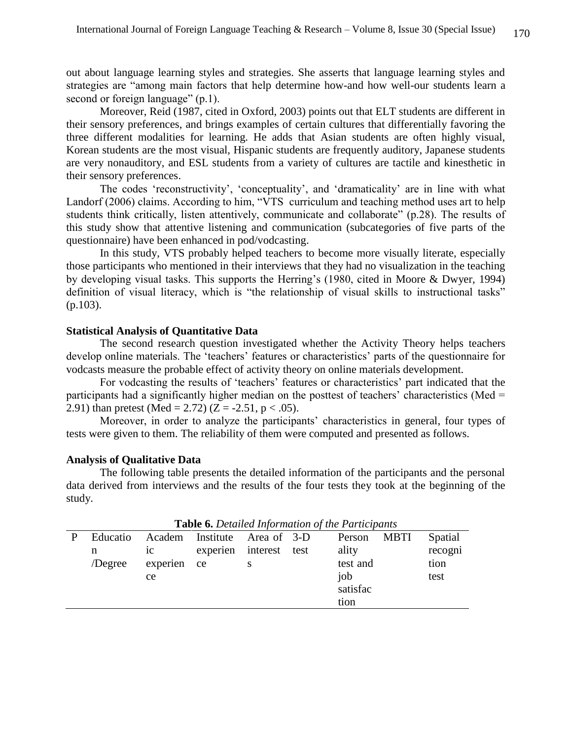out about language learning styles and strategies. She asserts that language learning styles and strategies are "among main factors that help determine how-and how well-our students learn a second or foreign language" (p.1).

Moreover, Reid (1987, cited in Oxford, 2003) points out that ELT students are different in their sensory preferences, and brings examples of certain cultures that differentially favoring the three different modalities for learning. He adds that Asian students are often highly visual, Korean students are the most visual, Hispanic students are frequently auditory, Japanese students are very nonauditory, and ESL students from a variety of cultures are tactile and kinesthetic in their sensory preferences.

The codes 'reconstructivity', 'conceptuality', and 'dramaticality' are in line with what Landorf (2006) claims. According to him, "VTS curriculum and teaching method uses art to help students think critically, listen attentively, communicate and collaborate" (p.28). The results of this study show that attentive listening and communication (subcategories of five parts of the questionnaire) have been enhanced in pod/vodcasting.

In this study, VTS probably helped teachers to become more visually literate, especially those participants who mentioned in their interviews that they had no visualization in the teaching by developing visual tasks. This supports the Herring's (1980, cited in Moore & Dwyer, 1994) definition of visual literacy, which is "the relationship of visual skills to instructional tasks" (p.103).

## **Statistical Analysis of Quantitative Data**

The second research question investigated whether the Activity Theory helps teachers develop online materials. The 'teachers' features or characteristics' parts of the questionnaire for vodcasts measure the probable effect of activity theory on online materials development.

For vodcasting the results of 'teachers' features or characteristics' part indicated that the participants had a significantly higher median on the posttest of teachers' characteristics (Med = 2.91) than pretest (Med = 2.72) ( $Z = -2.51$ ,  $p < .05$ ).

Moreover, in order to analyze the participants' characteristics in general, four types of tests were given to them. The reliability of them were computed and presented as follows.

### **Analysis of Qualitative Data**

The following table presents the detailed information of the participants and the personal data derived from interviews and the results of the four tests they took at the beginning of the study.

|   |          |          | <b>Table 0.</b> Detailed hypermation of the 1 articipants |  |          |      |         |
|---|----------|----------|-----------------------------------------------------------|--|----------|------|---------|
| P | Educatio |          | Academ Institute Area of 3-D                              |  | Person   | MBTI | Spatial |
|   | n        | 1C       | experien interest test                                    |  | ality    |      | recogni |
|   | /Degree  | experien | ce                                                        |  | test and |      | tion    |
|   |          | ce       |                                                           |  | job      |      | test    |
|   |          |          |                                                           |  | satisfac |      |         |
|   |          |          |                                                           |  | tion     |      |         |

**Table 6.** *Detailed Information of the Participants*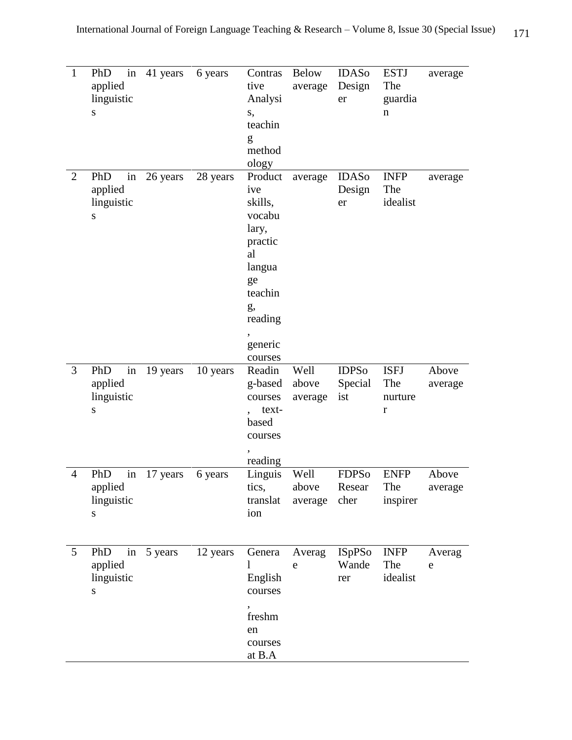| $\mathbf{1}$   | in<br>PhD<br>applied<br>linguistic<br>S         | 41 years   | 6 years  | Contras<br>tive<br>Analysi<br>S,<br>teachin<br>g<br>method<br>ology                                                             | <b>Below</b><br>average  | <b>IDAS</b> <sup>o</sup><br>Design<br>er | <b>ESTJ</b><br>The<br>guardia<br>$\mathbf n$ | average          |
|----------------|-------------------------------------------------|------------|----------|---------------------------------------------------------------------------------------------------------------------------------|--------------------------|------------------------------------------|----------------------------------------------|------------------|
| $\overline{2}$ | PhD<br>in<br>applied<br>linguistic<br>${\bf S}$ | 26 years   | 28 years | Product<br>ive<br>skills,<br>vocabu<br>lary,<br>practic<br>al<br>langua<br>ge<br>teachin<br>g,<br>reading<br>generic<br>courses | average                  | <b>IDAS</b> <sup>o</sup><br>Design<br>er | <b>INFP</b><br>The<br>idealist               | average          |
| 3              | in<br>PhD<br>applied<br>linguistic<br>${\bf S}$ | 19 years   | 10 years | Readin<br>g-based<br>courses<br>text-<br>based<br>courses<br>reading                                                            | Well<br>above<br>average | <b>IDPSo</b><br>Special<br>ist           | <b>ISFJ</b><br>The<br>nurture<br>r           | Above<br>average |
| 4              | PhD<br>in<br>applied<br>linguistic<br>${\bf S}$ | 17 years   | 6 years  | Linguis<br>tics,<br>translat<br>ion                                                                                             | Well<br>above<br>average | <b>FDPSo</b><br>Resear<br>cher           | <b>ENFP</b><br>The<br>inspirer               | Above<br>average |
| 5              | PhD<br>applied<br>linguistic<br>${\bf S}$       | in 5 years | 12 years | Genera<br>1<br>English<br>courses<br>freshm<br>en<br>courses<br>at B.A                                                          | Averag<br>e              | <b>ISpPSo</b><br>Wande<br>rer            | <b>INFP</b><br>The<br>idealist               | Averag<br>e      |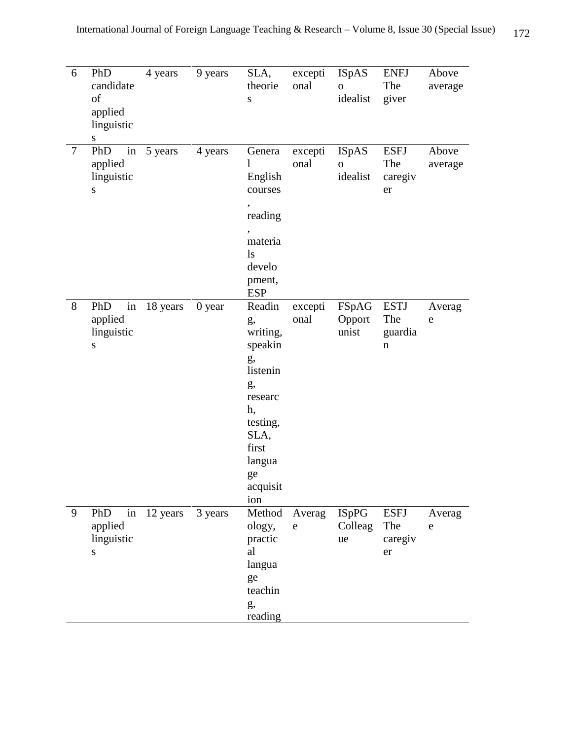| 6      | PhD<br>candidate<br>of<br>applied<br>linguistic<br>S | 4 years     | 9 years | SLA,<br>theorie<br>${\bf S}$                                                                                                                 | excepti<br>onal            | <b>ISpAS</b><br>$\overline{O}$<br>idealist | <b>ENFJ</b><br>The<br>giver                  | Above<br>average |
|--------|------------------------------------------------------|-------------|---------|----------------------------------------------------------------------------------------------------------------------------------------------|----------------------------|--------------------------------------------|----------------------------------------------|------------------|
| $\tau$ | PhD<br>in<br>applied<br>linguistic<br>${\bf S}$      | 5 years     | 4 years | Genera<br>L<br>English<br>courses<br>reading<br>materia<br>$\lg$<br>develo<br>pment,<br><b>ESP</b>                                           | excepti<br>onal            | <b>ISpAS</b><br>$\mathbf O$<br>idealist    | <b>ESFJ</b><br>The<br>caregiv<br>er          | Above<br>average |
| 8      | in<br>PhD<br>applied<br>linguistic<br>${\bf S}$      | 18 years    | 0 year  | Readin<br>g,<br>writing,<br>speakin<br>g,<br>listenin<br>g,<br>researc<br>h,<br>testing,<br>SLA,<br>first<br>langua<br>ge<br>acquisit<br>ion | excepti<br>onal            | FSpAG<br>Opport<br>unist                   | <b>ESTJ</b><br>The<br>guardia<br>$\mathbf n$ | Averag<br>e      |
| 9      | PhD<br>applied<br>linguistic<br>S                    | in 12 years | 3 years | ology,<br>practic<br>al<br>langua<br>ge<br>teachin<br>g,<br>reading                                                                          | Method Averag<br>${\rm e}$ | ISpPG<br>Colleag<br>ue                     | <b>ESFJ</b><br>The<br>caregiv<br>er          | Averag<br>e      |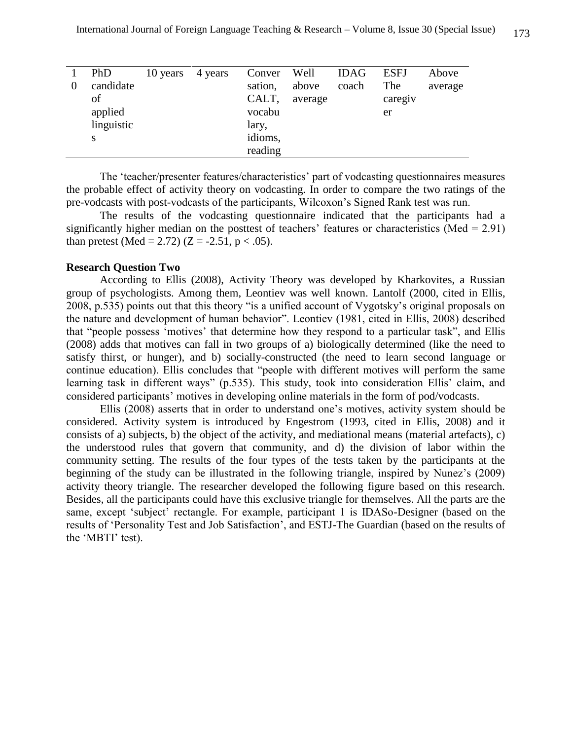|          | PhD        | 10 years | 4 years | Conver  | Well    | <b>IDAG</b> | <b>ESFJ</b> | Above   |
|----------|------------|----------|---------|---------|---------|-------------|-------------|---------|
| $\theta$ | candidate  |          |         | sation, | above   | coach       | The         | average |
|          | of         |          |         | CALT,   | average |             | caregiv     |         |
|          | applied    |          |         | vocabu  |         |             | er          |         |
|          | linguistic |          |         | lary,   |         |             |             |         |
|          | S          |          |         | idioms, |         |             |             |         |
|          |            |          |         | reading |         |             |             |         |

The 'teacher/presenter features/characteristics' part of vodcasting questionnaires measures the probable effect of activity theory on vodcasting. In order to compare the two ratings of the pre-vodcasts with post-vodcasts of the participants, Wilcoxon's Signed Rank test was run.

The results of the vodcasting questionnaire indicated that the participants had a significantly higher median on the posttest of teachers' features or characteristics (Med  $= 2.91$ ) than pretest (Med = 2.72) (Z = -2.51, p < .05).

# **Research Question Two**

According to Ellis (2008), Activity Theory was developed by Kharkovites, a Russian group of psychologists. Among them, Leontiev was well known. Lantolf (2000, cited in Ellis, 2008, p.535) points out that this theory "is a unified account of Vygotsky's original proposals on the nature and development of human behavior". Leontiev (1981, cited in Ellis, 2008) described that "people possess 'motives' that determine how they respond to a particular task", and Ellis (2008) adds that motives can fall in two groups of a) biologically determined (like the need to satisfy thirst, or hunger), and b) socially-constructed (the need to learn second language or continue education). Ellis concludes that "people with different motives will perform the same learning task in different ways" (p.535). This study, took into consideration Ellis' claim, and considered participants' motives in developing online materials in the form of pod/vodcasts.

Ellis (2008) asserts that in order to understand one's motives, activity system should be considered. Activity system is introduced by Engestrom (1993, cited in Ellis, 2008) and it consists of a) subjects, b) the object of the activity, and mediational means (material artefacts), c) the understood rules that govern that community, and d) the division of labor within the community setting. The results of the four types of the tests taken by the participants at the beginning of the study can be illustrated in the following triangle, inspired by Nunez's (2009) activity theory triangle. The researcher developed the following figure based on this research. Besides, all the participants could have this exclusive triangle for themselves. All the parts are the same, except 'subject' rectangle. For example, participant 1 is IDASo-Designer (based on the results of 'Personality Test and Job Satisfaction', and ESTJ-The Guardian (based on the results of the 'MBTI' test).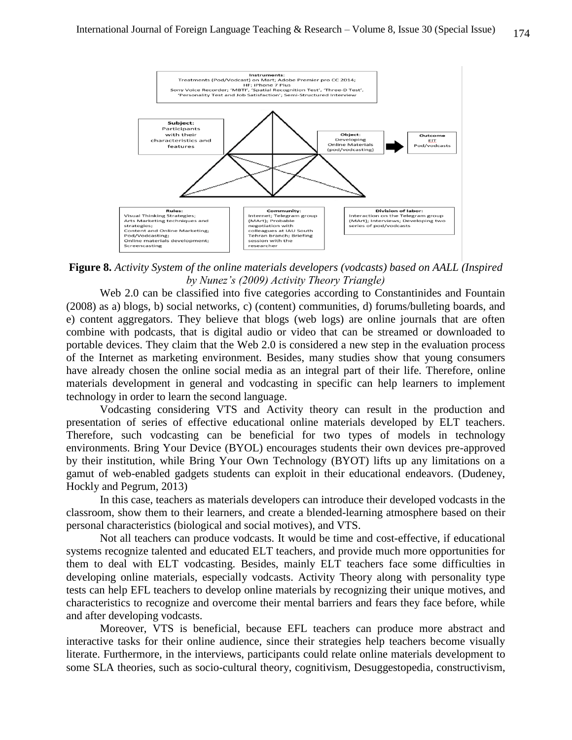

**Figure 8.** *Activity System of the online materials developers (vodcasts) based on AALL (Inspired by Nunez's (2009) Activity Theory Triangle)*

Web 2.0 can be classified into five categories according to Constantinides and Fountain (2008) as a) blogs, b) social networks, c) (content) communities, d) forums/bulleting boards, and e) content aggregators. They believe that blogs (web logs) are online journals that are often combine with podcasts, that is digital audio or video that can be streamed or downloaded to portable devices. They claim that the Web 2.0 is considered a new step in the evaluation process of the Internet as marketing environment. Besides, many studies show that young consumers have already chosen the online social media as an integral part of their life. Therefore, online materials development in general and vodcasting in specific can help learners to implement technology in order to learn the second language.

Vodcasting considering VTS and Activity theory can result in the production and presentation of series of effective educational online materials developed by ELT teachers. Therefore, such vodcasting can be beneficial for two types of models in technology environments. Bring Your Device (BYOL) encourages students their own devices pre-approved by their institution, while Bring Your Own Technology (BYOT) lifts up any limitations on a gamut of web-enabled gadgets students can exploit in their educational endeavors. (Dudeney, Hockly and Pegrum, 2013)

In this case, teachers as materials developers can introduce their developed vodcasts in the classroom, show them to their learners, and create a blended-learning atmosphere based on their personal characteristics (biological and social motives), and VTS.

Not all teachers can produce vodcasts. It would be time and cost-effective, if educational systems recognize talented and educated ELT teachers, and provide much more opportunities for them to deal with ELT vodcasting. Besides, mainly ELT teachers face some difficulties in developing online materials, especially vodcasts. Activity Theory along with personality type tests can help EFL teachers to develop online materials by recognizing their unique motives, and characteristics to recognize and overcome their mental barriers and fears they face before, while and after developing vodcasts.

Moreover, VTS is beneficial, because EFL teachers can produce more abstract and interactive tasks for their online audience, since their strategies help teachers become visually literate. Furthermore, in the interviews, participants could relate online materials development to some SLA theories, such as socio-cultural theory, cognitivism, Desuggestopedia, constructivism,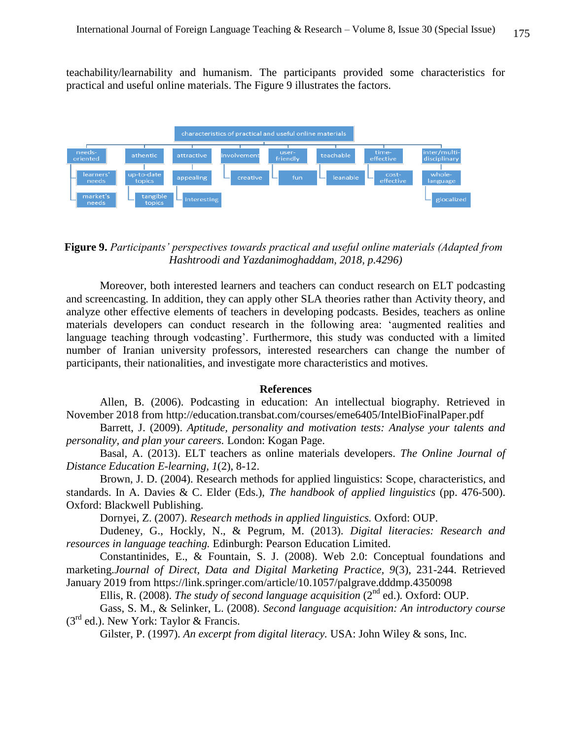teachability/learnability and humanism. The participants provided some characteristics for practical and useful online materials. The Figure 9 illustrates the factors.



**Figure 9.** *Participants' perspectives towards practical and useful online materials (Adapted from Hashtroodi and Yazdanimoghaddam, 2018, p.4296)*

Moreover, both interested learners and teachers can conduct research on ELT podcasting and screencasting. In addition, they can apply other SLA theories rather than Activity theory, and analyze other effective elements of teachers in developing podcasts. Besides, teachers as online materials developers can conduct research in the following area: 'augmented realities and language teaching through vodcasting'. Furthermore, this study was conducted with a limited number of Iranian university professors, interested researchers can change the number of participants, their nationalities, and investigate more characteristics and motives.

#### **References**

Allen, B. (2006). Podcasting in education: An intellectual biography. Retrieved in November 2018 from http://education.transbat.com/courses/eme6405/IntelBioFinalPaper.pdf

Barrett, J. (2009). *Aptitude, personality and motivation tests: Analyse your talents and personality, and plan your careers.* London: Kogan Page.

Basal, A. (2013). ELT teachers as online materials developers. *The Online Journal of Distance Education E-learning, 1*(2), 8-12.

Brown, J. D. (2004). Research methods for applied linguistics: Scope, characteristics, and standards. In A. Davies & C. Elder (Eds.), *The handbook of applied linguistics* (pp. 476-500). Oxford: Blackwell Publishing.

Dornyei, Z. (2007). *Research methods in applied linguistics.* Oxford: OUP.

Dudeney, G., Hockly, N., & Pegrum, M. (2013). *Digital literacies: Research and resources in language teaching.* Edinburgh: Pearson Education Limited.

Constantinides, E., & Fountain, S. J. (2008). Web 2.0: Conceptual foundations and marketing.*Journal of Direct, Data and Digital Marketing Practice, 9*(3), 231-244. Retrieved January 2019 from https://link.springer.com/article/10.1057/palgrave.dddmp.4350098

Ellis, R. (2008). *The study of second language acquisition* (2<sup>nd</sup> ed.). Oxford: OUP.

Gass, S. M., & Selinker, L. (2008). *Second language acquisition: An introductory course*   $(3<sup>rd</sup>$  ed.). New York: Taylor & Francis.

Gilster, P. (1997). *An excerpt from digital literacy.* USA: John Wiley & sons, Inc.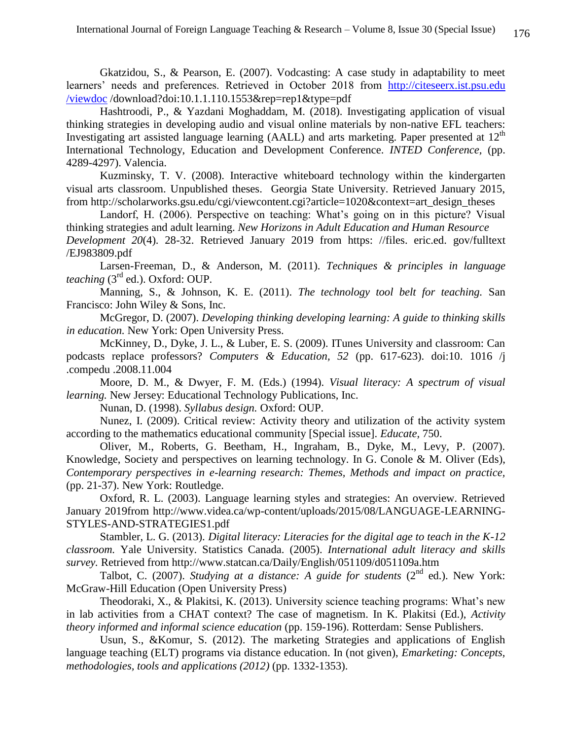Gkatzidou, S., & Pearson, E. (2007). Vodcasting: A case study in adaptability to meet learners' needs and preferences. Retrieved in October 2018 from http://citeseerx.ist.psu.edu /viewdoc /download?doi:10.1.1.110.1553&rep=rep1&type=pdf

Hashtroodi, P., & Yazdani Moghaddam, M. (2018). Investigating application of visual thinking strategies in developing audio and visual online materials by non-native EFL teachers: Investigating art assisted language learning (AALL) and arts marketing. Paper presented at  $12<sup>th</sup>$ International Technology, Education and Development Conference. *INTED Conference,* (pp. 4289-4297). Valencia.

Kuzminsky, T. V. (2008). Interactive whiteboard technology within the kindergarten visual arts classroom. Unpublished theses. Georgia State University. Retrieved January 2015, from http://scholarworks.gsu.edu/cgi/viewcontent.cgi?article=1020&context=art\_design\_theses

Landorf, H. (2006). Perspective on teaching: What's going on in this picture? Visual thinking strategies and adult learning. *New Horizons in Adult Education and Human Resource Development 20*(4). 28-32. Retrieved January 2019 from https: //files. eric.ed. gov/fulltext /EJ983809.pdf

Larsen-Freeman, D., & Anderson, M. (2011). *Techniques & principles in language teaching* (3<sup>rd</sup> ed.). Oxford: OUP.

Manning, S., & Johnson, K. E. (2011). *The technology tool belt for teaching.* San Francisco: John Wiley & Sons, Inc.

McGregor, D. (2007). *Developing thinking developing learning: A guide to thinking skills in education.* New York: Open University Press.

McKinney, D., Dyke, J. L., & Luber, E. S. (2009). ITunes University and classroom: Can podcasts replace professors? *Computers & Education, 52* (pp. 617-623). doi:10. 1016 /j .compedu .2008.11.004

Moore, D. M., & Dwyer, F. M. (Eds.) (1994). *Visual literacy: A spectrum of visual learning.* New Jersey: Educational Technology Publications, Inc.

Nunan, D. (1998). *Syllabus design.* Oxford: OUP.

Nunez, I. (2009). Critical review: Activity theory and utilization of the activity system according to the mathematics educational community [Special issue]. *Educate,* 750.

Oliver, M., Roberts, G. Beetham, H., Ingraham, B., Dyke, M., Levy, P. (2007). Knowledge, Society and perspectives on learning technology. In G. Conole & M. Oliver (Eds), *Contemporary perspectives in e-learning research: Themes, Methods and impact on practice,*  (pp. 21-37). New York: Routledge.

Oxford, R. L. (2003). Language learning styles and strategies: An overview. Retrieved January 2019from http://www.videa.ca/wp-content/uploads/2015/08/LANGUAGE-LEARNING-STYLES-AND-STRATEGIES1.pdf

Stambler, L. G. (2013). *Digital literacy: Literacies for the digital age to teach in the K-12 classroom.* Yale University. Statistics Canada. (2005). *International adult literacy and skills survey.* Retrieved from http://www.statcan.ca/Daily/English/051109/d051109a.htm

Talbot, C. (2007). *Studying at a distance: A guide for students* (2<sup>nd</sup> ed.). New York: McGraw-Hill Education (Open University Press)

Theodoraki, X., & Plakitsi, K. (2013). University science teaching programs: What's new in lab activities from a CHAT context? The case of magnetism. In K. Plakitsi (Ed.), *Activity theory informed and informal science education* (pp. 159-196). Rotterdam: Sense Publishers.

Usun, S., &Komur, S. (2012). The marketing Strategies and applications of English language teaching (ELT) programs via distance education. In (not given), *Emarketing: Concepts, methodologies, tools and applications (2012)* (pp. 1332-1353).